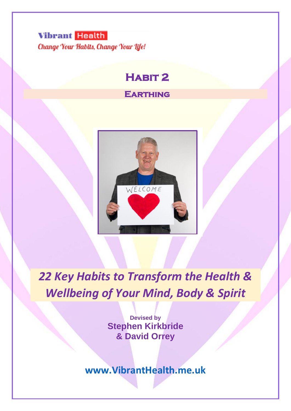

Change Your Habits, Change Your Life!

# **Habit 2**

# **Earthing**



*22 Key Habits to Transform the Health & Wellbeing of Your Mind, Body & Spirit*

> **Devised by Stephen Kirkbride & David Orrey**

**[www.VibrantHealth.me.uk](http://www.vibranthealth.me.uk/)**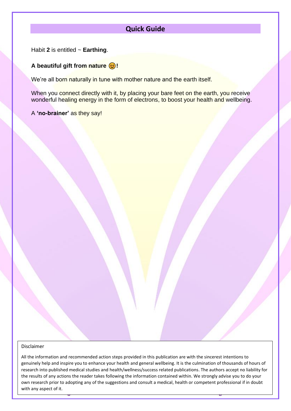# **Quick Guide**

Habit **2** is entitled ~ **Earthing**.

# A beautiful gift from nature  $\bigcirc$ !

We're all born naturally in tune with mother nature and the earth itself.

When you connect directly with it, by placing your bare feet on the earth, you receive wonderful healing energy in the form of electrons, to boost your health and wellbeing.

A **'no-brainer'** as they say!

#### Disclaimer

**Essential Programme ~ Habit 1 ~ Page 2 [www.VibrantHealth.me.uk](https://www.vibranthealth.me.uk/essential-plan)** All the information and recommended action steps provided in this publication are with the sincerest intentions to genuinely help and inspire you to enhance your health and general wellbeing. It is the culmination of thousands of hours of research into published medical studies and health/wellness/success related publications. The authors accept no liability for the results of any actions the reader takes following the information contained within. We strongly advise you to do your own research prior to adopting any of the suggestions and consult a medical, health or competent professional if in doubt with any aspect of it.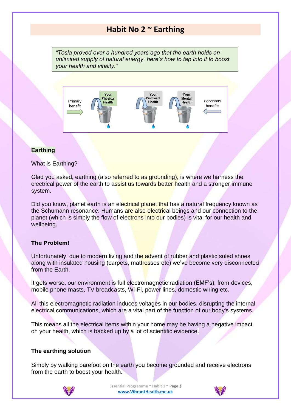# **Habit No 2 ~ Earthing**

*"Tesla proved over a hundred years ago that the earth holds an unlimited supply of natural energy, here's how to tap into it to boost your health and vitality."*



# **Earthing**

What is Earthing?

Glad you asked, earthing (also referred to as grounding), is where we harness the electrical power of the earth to assist us towards better health and a stronger immune system.

Did you know, planet earth is an electrical planet that has a natural frequency known as the Schumann resonance. Humans are also electrical beings and our connection to the planet (which is simply the flow of electrons into our bodies) is vital for our health and wellbeing.

# **The Problem!**

Unfortunately, due to modern living and the advent of rubber and plastic soled shoes along with insulated housing (carpets, mattresses etc) we've become very disconnected from the Earth.

It gets worse, our environment is full electromagnetic radiation (EMF's), from devices, mobile phone masts, TV broadcasts, Wi-Fi, power lines, domestic wiring etc.

All this electromagnetic radiation induces voltages in our bodies, disrupting the internal electrical communications, which are a vital part of the function of our body's systems.

This means all the electrical items within your home may be having a negative impact on your health, which is backed up by a lot of scientific evidence.

### **The earthing solution**

Simply by walking barefoot on the earth you become grounded and receive electrons from the earth to boost your health.



**Essential Programme ~ Habit 1 ~ Page 3 [www.VibrantHealth.me.uk](https://www.vibranthealth.me.uk/essential-plan)**

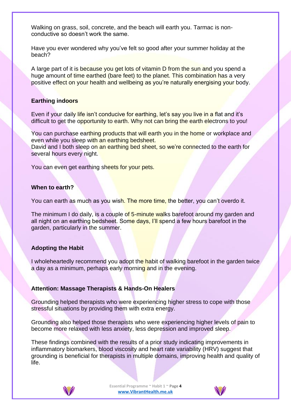Walking on grass, soil, concrete, and the beach will earth you. Tarmac is nonconductive so doesn't work the same.

Have you ever wondered why you've felt so good after your summer holiday at the beach?

A large part of it is because you get lots of vitamin D from the sun and you spend a huge amount of time earthed (bare feet) to the planet. This combination has a very positive effect on your health and wellbeing as you're naturally energising your body.

# **Earthing indoors**

Even if your daily life isn't conducive for earthing, let's say you live in a flat and it's difficult to get the opportunity to earth. Why not can bring the earth electrons to you!

You can purchase earthing products that will earth you in the home or workplace and even while you sleep with an earthing bedsheet.

David and I both sleep on an earthing bed sheet, so we're connected to the earth for several hours every night.

You can even get earthing sheets for your pets.

### **When to earth?**

You can earth as much as you wish. The more time, the better, you can't overdo it.

The minimum I do daily, is a couple of 5-minute walks barefoot around my garden and all night on an earthing bedsheet. Some days, I'll spend a few hours barefoot in the garden, particularly in the summer.

# **Adopting the Habit**

I wholeheartedly recommend you adopt the habit of walking barefoot in the garden twice a day as a minimum, perhaps early morning and in the evening.

# **Attention: Massage Therapists & Hands-On Healers**

Grounding helped therapists who were experiencing higher stress to cope with those stressful situations by providing them with extra energy.

Grounding also helped those therapists who were experiencing higher levels of pain to become more relaxed with less anxiety, less depression and improved sleep.

These findings combined with the results of a prior study indicating improvements in inflammatory biomarkers, blood viscosity and heart rate variability (HRV) suggest that grounding is beneficial for therapists in multiple domains, improving health and quality of life.



**Essential Programme ~ Habit 1 ~ Page 4 [www.VibrantHealth.me.uk](https://www.vibranthealth.me.uk/essential-plan)**

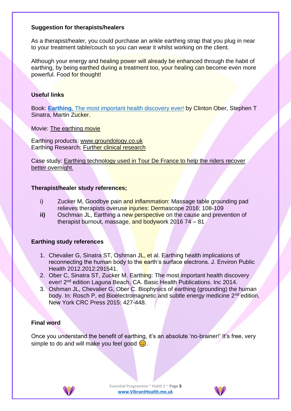# **Suggestion for therapists/healers**

As a therapist/healer, you could purchase an ankle earthing strap that you plug in near to your treatment table/couch so you can wear it whilst working on the client.

Although your energy and healing power will already be enhanced through the habit of earthing, by being earthed during a treatment too, your healing can become even more powerful. Food for thought!

# **Useful links**

Book: **Earthing**[, The most important health discovery ever!](https://amzn.to/2wvR53E) by Clinton Ober, Stephen T Sinatra, Martin Zucker.

Movie: [The earthing movie](https://www.groundology.co.uk/videos?show=the-earthing-movie#video)

Earthing products: [www.groundology.co.uk](http://www.groundology.co.uk/) Earthing Research: [Further clinical research](https://www.groundology.co.uk/scientific-research)

Case study: [Earthing technology used in Tour De France to help the riders recover](https://www.youtube.com/watch?v=icZIZ5UUoOE)  [better overnight.](https://www.youtube.com/watch?v=icZIZ5UUoOE)

# **Therapist/healer study references;**

- i) Zucker M, Goodbye pain and inflammation: Massage table grounding pad relieves therapists overuse injuries: Dermascope 2016; 108-109
- **ii)** Oschman JL, Earthing a new perspective on the cause and prevention of therapist burnout, massage, and bodywork 2016 74 – 81

# **Earthing study references**

- 1. Chevalier G, Sinatra ST, Oshman JL, et al. Earthing health implications of reconnecting the human body to the earth's surface electrons. J. Environ Public Health 2012.2012:291541.
- 2. Ober C, Sinatra ST, Zucker M. Earthing: The most important health discovery ever! 2nd edition Laguna Beach, CA. Basic Health Publications. Inc 2014.
- 3. Oshman JL, Chevalier G, Ober C. Biophysics of earthing (grounding) the human body. In: Rosch P, ed Bioelectromagnetic and subtle energy medicine 2<sup>nd</sup> edition, New York CRC Press 2015: 427-448.

# **Final word**

Once you understand the benefit of earthing, it's an absolute 'no-brainer!' It's free, very simple to do and will make you feel good  $\odot$ .



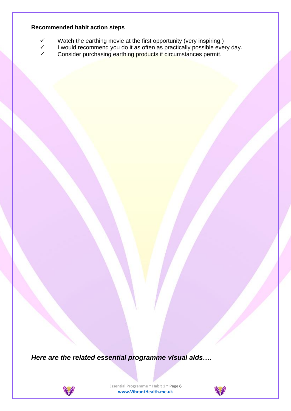# **Recommended habit action steps**

- $\checkmark$  Watch the earthing movie at the first opportunity (very inspiring!)<br> $\checkmark$  I would recommend you do it as often as practically possible eve
- I would recommend you do it as often as practically possible every day.
- Consider purchasing earthing products if circumstances permit.

*Here are the related essential programme visual aids….*



**Essential Programme ~ Habit 1 ~ Page 6 [www.VibrantHealth.me.uk](https://www.vibranthealth.me.uk/essential-plan)**

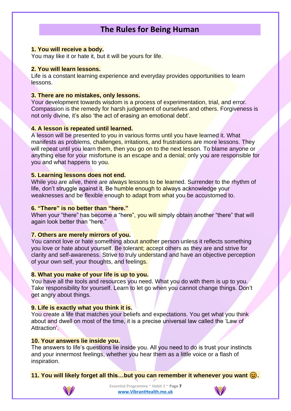# **The Rules for Being Human**

#### **1. You will receive a body.**

You may like it or hate it, but it will be yours for life.

### **2. You will learn lessons.**

Life is a constant learning experience and everyday provides opportunities to learn lessons.

# **3. There are no mistakes, only lessons.**

Your development towards wisdom is a process of experimentation, trial, and error. Compassion is the remedy for harsh judgement of ourselves and others. Forgiveness is not only divine, it's also 'the act of erasing an emotional debt'.

### **4. A lesson is repeated until learned.**

A lesson will be presented to you in various forms until you have learned it. What manifests as problems, challenges, irritations, and frustrations are more lessons. They will repeat until you learn them, then you go on to the next lesson. To blame anyone or anything else for your misfortune is an escape and a denial; only you are responsible for you and what happens to you.

### **5. Learning lessons does not end.**

While you are alive, there are always lessons to be learned. Surrender to the rhythm of life, don't struggle against it. Be humble enough to always acknowledge your weaknesses and be flexible enough to adapt from what you be accustomed to.

### **6. "There" is no better than "here."**

When your "there" has become a "here", you will simply obtain another "there" that will again look better than "here."

### **7. Others are merely mirrors of you.**

You cannot love or hate something about another person unless it reflects something you love or hate about yourself. Be tolerant; accept others as they are and strive for clarity and self-awareness. Strive to truly understand and have an objective perception of your own self, your thoughts, and feelings.

# **8. What you make of your life is up to you.**

You have all the tools and resources you need. What you do with them is up to you. Take responsibility for yourself. Learn to let go when you cannot change things. Don't get angry about things.

# **9. Life is exactly what you think it is.**

You create a life that matches your beliefs and expectations. You get what you think about and dwell on most of the time, it is a precise universal law called the 'Law of Attraction'.

#### **10. Your answers lie inside you.**

The answers to life's questions lie inside you. All you need to do is trust your instincts and your innermost feelings, whether you hear them as a little voice or a flash of inspiration.

**11. You will likely forget all this…but you can remember it whenever you want .**



**Essential Programme ~ Habit 1 ~ Page 7 [www.VibrantHealth.me.uk](https://www.vibranthealth.me.uk/essential-plan)**